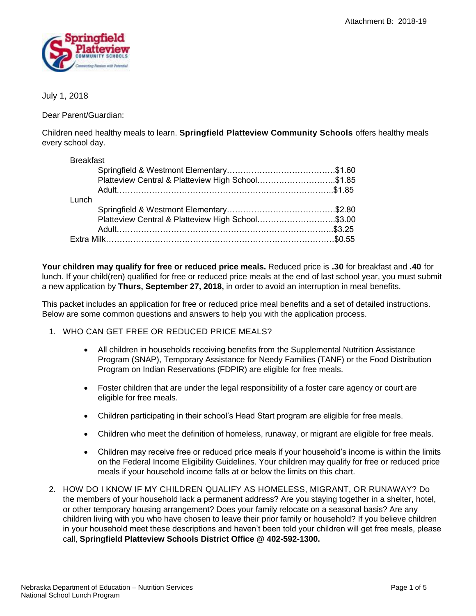

# July 1, 2018

Dear Parent/Guardian:

Children need healthy meals to learn. **Springfield Platteview Community Schools** offers healthy meals every school day.

| <b>Breakfast</b> |                                                   |  |
|------------------|---------------------------------------------------|--|
|                  |                                                   |  |
|                  | Platteview Central & Platteview High School\$1.85 |  |
|                  |                                                   |  |
| Lunch            |                                                   |  |
|                  |                                                   |  |
|                  | Platteview Central & Platteview High School\$3.00 |  |
|                  |                                                   |  |
|                  |                                                   |  |

**Your children may qualify for free or reduced price meals.** Reduced price is **.30** for breakfast and **.40** for lunch. If your child(ren) qualified for free or reduced price meals at the end of last school year, you must submit a new application by **Thurs, September 27, 2018,** in order to avoid an interruption in meal benefits.

This packet includes an application for free or reduced price meal benefits and a set of detailed instructions. Below are some common questions and answers to help you with the application process.

- 1. WHO CAN GET FREE OR REDUCED PRICE MEALS?
	- All children in households receiving benefits from the Supplemental Nutrition Assistance Program (SNAP), Temporary Assistance for Needy Families (TANF) or the Food Distribution Program on Indian Reservations (FDPIR) are eligible for free meals.
	- Foster children that are under the legal responsibility of a foster care agency or court are eligible for free meals.
	- Children participating in their school's Head Start program are eligible for free meals.
	- Children who meet the definition of homeless, runaway, or migrant are eligible for free meals.
	- Children may receive free or reduced price meals if your household's income is within the limits on the Federal Income Eligibility Guidelines. Your children may qualify for free or reduced price meals if your household income falls at or below the limits on this chart.
- 2. HOW DO I KNOW IF MY CHILDREN QUALIFY AS HOMELESS, MIGRANT, OR RUNAWAY? Do the members of your household lack a permanent address? Are you staying together in a shelter, hotel, or other temporary housing arrangement? Does your family relocate on a seasonal basis? Are any children living with you who have chosen to leave their prior family or household? If you believe children in your household meet these descriptions and haven't been told your children will get free meals, please call, **Springfield Platteview Schools District Office @ 402-592-1300.**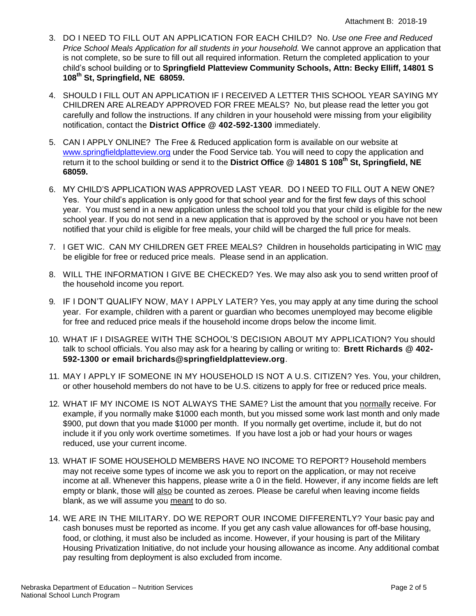- 3. DO I NEED TO FILL OUT AN APPLICATION FOR EACH CHILD? No. *Use one Free and Reduced Price School Meals Application for all students in your household.* We cannot approve an application that is not complete, so be sure to fill out all required information. Return the completed application to your child's school building or to **Springfield Platteview Community Schools, Attn: Becky Elliff, 14801 S 108th St, Springfield, NE 68059.**
- 4. SHOULD I FILL OUT AN APPLICATION IF I RECEIVED A LETTER THIS SCHOOL YEAR SAYING MY CHILDREN ARE ALREADY APPROVED FOR FREE MEALS? No, but please read the letter you got carefully and follow the instructions. If any children in your household were missing from your eligibility notification, contact the **District Office @ 402-592-1300** immediately.
- 5. CAN I APPLY ONLINE? The Free & Reduced application form is available on our website at [www.springfieldplatteview.org](http://www.springfieldplatteview.org/) under the Food Service tab. You will need to copy the application and return it to the school building or send it to the **District Office @ 14801 S 108th St, Springfield, NE 68059.**
- 6. MY CHILD'S APPLICATION WAS APPROVED LAST YEAR. DO I NEED TO FILL OUT A NEW ONE? Yes. Your child's application is only good for that school year and for the first few days of this school year. You must send in a new application unless the school told you that your child is eligible for the new school year. If you do not send in a new application that is approved by the school or you have not been notified that your child is eligible for free meals, your child will be charged the full price for meals.
- 7. I GET WIC. CAN MY CHILDREN GET FREE MEALS? Children in households participating in WIC may be eligible for free or reduced price meals. Please send in an application.
- 8. WILL THE INFORMATION I GIVE BE CHECKED? Yes. We may also ask you to send written proof of the household income you report.
- 9. IF I DON'T QUALIFY NOW, MAY I APPLY LATER? Yes, you may apply at any time during the school year. For example, children with a parent or guardian who becomes unemployed may become eligible for free and reduced price meals if the household income drops below the income limit.
- 10. WHAT IF I DISAGREE WITH THE SCHOOL'S DECISION ABOUT MY APPLICATION? You should talk to school officials. You also may ask for a hearing by calling or writing to: **Brett Richards @ 402- 592-1300 or email brichards@springfieldplatteview.org***.*
- 11. MAY I APPLY IF SOMEONE IN MY HOUSEHOLD IS NOT A U.S. CITIZEN? Yes. You, your children, or other household members do not have to be U.S. citizens to apply for free or reduced price meals.
- 12. WHAT IF MY INCOME IS NOT ALWAYS THE SAME? List the amount that you normally receive. For example, if you normally make \$1000 each month, but you missed some work last month and only made \$900, put down that you made \$1000 per month. If you normally get overtime, include it, but do not include it if you only work overtime sometimes. If you have lost a job or had your hours or wages reduced, use your current income.
- 13. WHAT IF SOME HOUSEHOLD MEMBERS HAVE NO INCOME TO REPORT? Household members may not receive some types of income we ask you to report on the application, or may not receive income at all. Whenever this happens, please write a 0 in the field. However, if any income fields are left empty or blank, those will also be counted as zeroes. Please be careful when leaving income fields blank, as we will assume you meant to do so.
- 14. WE ARE IN THE MILITARY. DO WE REPORT OUR INCOME DIFFERENTLY? Your basic pay and cash bonuses must be reported as income. If you get any cash value allowances for off-base housing, food, or clothing, it must also be included as income. However, if your housing is part of the Military Housing Privatization Initiative, do not include your housing allowance as income. Any additional combat pay resulting from deployment is also excluded from income.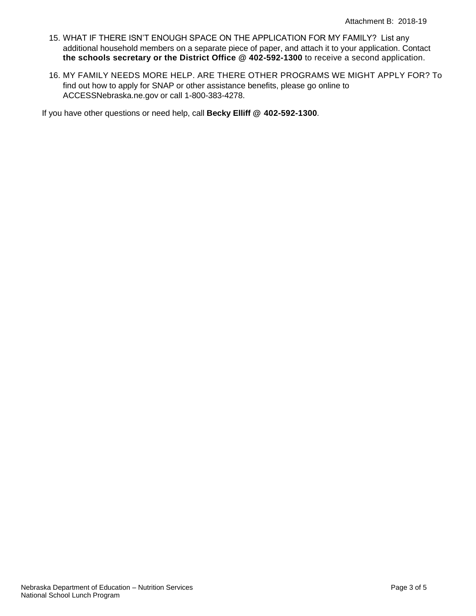- 15. WHAT IF THERE ISN'T ENOUGH SPACE ON THE APPLICATION FOR MY FAMILY? List any additional household members on a separate piece of paper, and attach it to your application. Contact **the schools secretary or the District Office @ 402-592-1300** to receive a second application.
- 16. MY FAMILY NEEDS MORE HELP. ARE THERE OTHER PROGRAMS WE MIGHT APPLY FOR? To find out how to apply for SNAP or other assistance benefits, please go online to ACCESSNebraska.ne.gov or call 1-800-383-4278.

If you have other questions or need help, call **Becky Elliff @ 402-592-1300***.*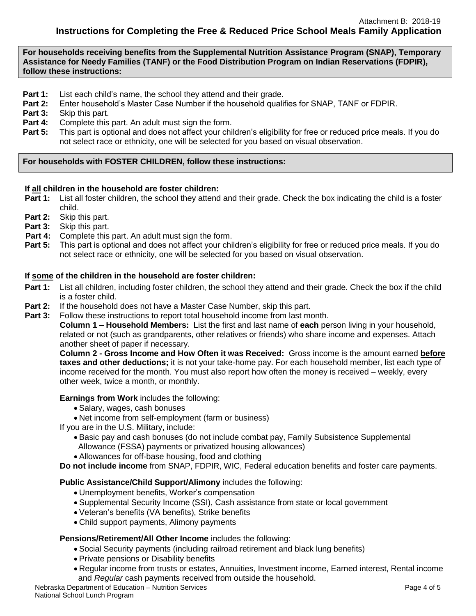**For households receiving benefits from the Supplemental Nutrition Assistance Program (SNAP), Temporary Assistance for Needy Families (TANF) or the Food Distribution Program on Indian Reservations (FDPIR), follow these instructions:**

- **Part 1:** List each child's name, the school they attend and their grade.
- **Part 2:** Enter household's Master Case Number if the household qualifies for SNAP, TANF or FDPIR.
- **Part 3:** Skip this part.
- **Part 4:** Complete this part. An adult must sign the form.
- **Part 5:** This part is optional and does not affect your children's eligibility for free or reduced price meals. If you do not select race or ethnicity, one will be selected for you based on visual observation.

## **For households with FOSTER CHILDREN, follow these instructions:**

- **If all children in the household are foster children: Part 1:** List all foster children, the school they attend and their grade. Check the box indicating the child is a foster child.
- **Part 2:** Skip this part.
- **Part 3:** Skip this part.
- **Part 4:** Complete this part. An adult must sign the form.
- **Part 5:** This part is optional and does not affect your children's eligibility for free or reduced price meals. If you do not select race or ethnicity, one will be selected for you based on visual observation.

## **If some of the children in the household are foster children:**

- **Part 1:** List all children, including foster children, the school they attend and their grade. Check the box if the child is a foster child.
- **Part 2:** If the household does not have a Master Case Number, skip this part.
- **Part 3:** Follow these instructions to report total household income from last month.

**Column 1 – Household Members:** List the first and last name of **each** person living in your household, related or not (such as grandparents, other relatives or friends) who share income and expenses. Attach another sheet of paper if necessary.

**Column 2 - Gross Income and How Often it was Received:** Gross income is the amount earned **before taxes and other deductions;** it is not your take-home pay. For each household member, list each type of income received for the month. You must also report how often the money is received – weekly, every other week, twice a month, or monthly.

**Earnings from Work** includes the following:

- Salary, wages, cash bonuses
- Net income from self-employment (farm or business)

If you are in the U.S. Military, include:

- Basic pay and cash bonuses (do not include combat pay, Family Subsistence Supplemental Allowance (FSSA) payments or privatized housing allowances)
- Allowances for off-base housing, food and clothing

**Do not include income** from SNAP, FDPIR, WIC, Federal education benefits and foster care payments.

# **Public Assistance/Child Support/Alimony** includes the following:

- Unemployment benefits, Worker's compensation
- Supplemental Security Income (SSI), Cash assistance from state or local government
- Veteran's benefits (VA benefits), Strike benefits
- Child support payments, Alimony payments

# **Pensions/Retirement/All Other Income** includes the following:

- Social Security payments (including railroad retirement and black lung benefits)
- Private pensions or Disability benefits
- Regular income from trusts or estates, Annuities, Investment income, Earned interest, Rental income and *Regular* cash payments received from outside the household.